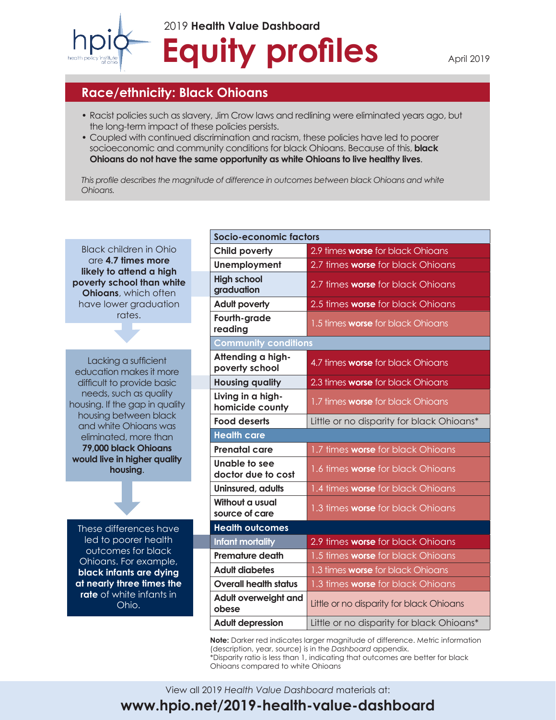

# **Equity profiles** 2019 **Health Value Dashboard**

#### **Race/ethnicity: Black Ohioans**

- Racist policies such as slavery, Jim Crow laws and redlining were eliminated years ago, but the long-term impact of these policies persists.
- Coupled with continued discrimination and racism, these policies have led to poorer socioeconomic and community conditions for black Ohioans. Because of this, **black Ohioans do not have the same opportunity as white Ohioans to live healthy lives**.

*This profile describes the magnitude of difference in outcomes between black Ohioans and white Ohioans.*

Black children in Ohio are **4.7 times more likely to attend a high poverty school than white Ohioans**, which often have lower graduation rates.

Lacking a sufficient education makes it more difficult to provide basic needs, such as quality housing. If the gap in quality housing between black and white Ohioans was eliminated, more than **79,000 black Ohioans would live in higher quality housing**.

These differences have led to poorer health outcomes for black Ohioans. For example, **black infants are dying at nearly three times the rate** of white infants in Ohio.

| Socio-economic factors               |                                           |  |  |  |
|--------------------------------------|-------------------------------------------|--|--|--|
| <b>Child poverty</b>                 | 2.9 times worse for black Ohioans         |  |  |  |
| Unemployment                         | 2.7 times worse for black Ohioans         |  |  |  |
| <b>High school</b><br>graduation     | 2.7 times worse for black Ohioans         |  |  |  |
| <b>Adult poverty</b>                 | 2.5 times <b>worse</b> for black Ohioans  |  |  |  |
| Fourth-grade<br>reading              | 1.5 times <b>worse</b> for black Ohioans  |  |  |  |
| <b>Community conditions</b>          |                                           |  |  |  |
| Attending a high-<br>poverty school  | 4.7 times worse for black Ohioans         |  |  |  |
| <b>Housing quality</b>               | 2.3 times worse for black Ohioans         |  |  |  |
| Living in a high-<br>homicide county | 1.7 times worse for black Ohioans         |  |  |  |
| <b>Food deserts</b>                  | Little or no disparity for black Ohioans* |  |  |  |
| <b>Health care</b>                   |                                           |  |  |  |
|                                      |                                           |  |  |  |
| <b>Prenatal care</b>                 | 1.7 times worse for black Ohioans         |  |  |  |
| Unable to see<br>doctor due to cost  | 1.6 times worse for black Ohioans         |  |  |  |
| Uninsured, adults                    | 1.4 times worse for black Ohioans         |  |  |  |
| Without a usual<br>source of care    | 1.3 times worse for black Ohioans         |  |  |  |
| <b>Health outcomes</b>               |                                           |  |  |  |
| <b>Infant mortality</b>              | 2.9 times worse for black Ohioans         |  |  |  |
| <b>Premature death</b>               | 1.5 times worse for black Ohioans         |  |  |  |
| <b>Adult diabetes</b>                | 1.3 times worse for black Ohioans         |  |  |  |
| <b>Overall health status</b>         | 1.3 times worse for black Ohioans         |  |  |  |
| Adult overweight and<br>obese        | Little or no disparity for black Ohioans  |  |  |  |

**Note:** Darker red indicates larger magnitude of difference. Metric information (description, year, source) is in the *Dashboard* appendix. \*Disparity ratio is less than 1, indicating that outcomes are better for black

Ohioans compared to white Ohioans

PB 1 **www.hpio.net/2019-health-value-dashboard** View all 2019 *Health Value Dashboard* materials at: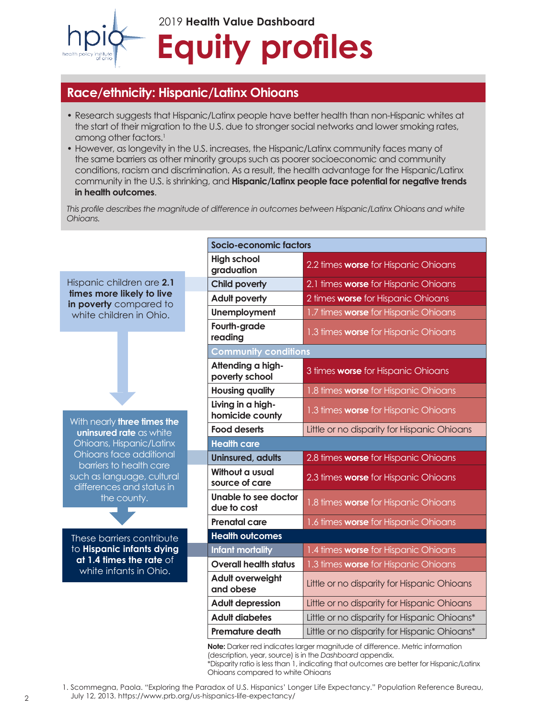

### **Race/ethnicity: Hispanic/Latinx Ohioans**

- Research suggests that Hispanic/Latinx people have better health than non-Hispanic whites at the start of their migration to the U.S. due to stronger social networks and lower smoking rates, among other factors.<sup>1</sup>
- However, as longevity in the U.S. increases, the Hispanic/Latinx community faces many of the same barriers as other minority groups such as poorer socioeconomic and community conditions, racism and discrimination. As a result, the health advantage for the Hispanic/Latinx community in the U.S. is shrinking, and **Hispanic/Latinx people face potential for negative trends in health outcomes**.

*This profile describes the magnitude of difference in outcomes between Hispanic/Latinx Ohioans and white Ohioans.*

|                                                                                |                                      | Socio-economic factors                       |  |
|--------------------------------------------------------------------------------|--------------------------------------|----------------------------------------------|--|
|                                                                                | <b>High school</b><br>graduation     | 2.2 times worse for Hispanic Ohioans         |  |
| Hispanic children are 2.1                                                      | <b>Child poverty</b>                 | 2.1 times worse for Hispanic Ohioans         |  |
| times more likely to live<br>in poverty compared to<br>white children in Ohio. | <b>Adult poverty</b>                 | 2 times worse for Hispanic Ohioans           |  |
|                                                                                | <b>Unemployment</b>                  | 1.7 times worse for Hispanic Ohioans         |  |
|                                                                                | Fourth-grade<br>reading              | 1.3 times worse for Hispanic Ohioans         |  |
|                                                                                | <b>Community conditions</b>          |                                              |  |
|                                                                                | Attending a high-<br>poverty school  | 3 times worse for Hispanic Ohioans           |  |
|                                                                                | <b>Housing quality</b>               | 1.8 times worse for Hispanic Ohioans         |  |
| With nearly three times the                                                    | Living in a high-<br>homicide county | 1.3 times worse for Hispanic Ohioans         |  |
| uninsured rate as white                                                        | <b>Food deserts</b>                  | Little or no disparity for Hispanic Ohioans  |  |
| Ohioans, Hispanic/Latinx                                                       | <b>Health care</b>                   |                                              |  |
| Ohioans face additional<br>barriers to health care                             | <b>Uninsured, adults</b>             | 2.8 times worse for Hispanic Ohioans         |  |
| such as language, cultural<br>differences and status in                        | Without a usual<br>source of care    | 2.3 times worse for Hispanic Ohioans         |  |
| the county.                                                                    | Unable to see doctor<br>due to cost  | 1.8 times worse for Hispanic Ohioans         |  |
|                                                                                | <b>Prenatal care</b>                 | 1.6 times worse for Hispanic Ohioans         |  |
| These barriers contribute                                                      | <b>Health outcomes</b>               |                                              |  |
| to Hispanic infants dying                                                      | Infant mortality                     | 1.4 times worse for Hispanic Ohioans         |  |
| $at 1.4$ times the rate of<br>white infants in Ohio.                           | <b>Overall health status</b>         | 1.3 times worse for Hispanic Ohioans         |  |
|                                                                                | <b>Adult overweight</b><br>and obese | Little or no disparity for Hispanic Ohioans  |  |
|                                                                                | <b>Adult depression</b>              | Little or no disparity for Hispanic Ohioans  |  |
|                                                                                | <b>Adult diabetes</b>                | Little or no disparity for Hispanic Ohioans* |  |
|                                                                                | <b>Premature death</b>               | Little or no disparity for Hispanic Ohioans* |  |
|                                                                                |                                      |                                              |  |

**Note:** Darker red indicates larger magnitude of difference. Metric information (description, year, source) is in the *Dashboard* appendix. \*Disparity ratio is less than 1, indicating that outcomes are better for Hispanic/Latinx Ohioans compared to white Ohioans

1. Scommegna, Paola. "Exploring the Paradox of U.S. Hispanics' Longer Life Expectancy." Population Reference Bureau,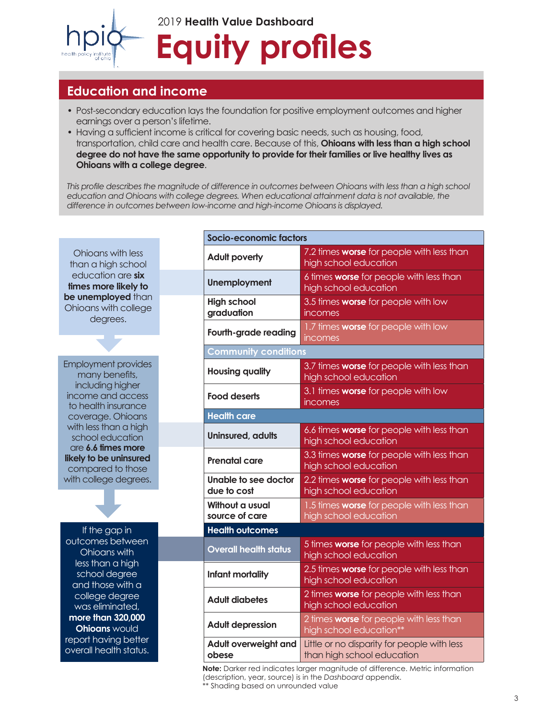

### **Education and income**

- Post-secondary education lays the foundation for positive employment outcomes and higher earnings over a person's lifetime.
- Having a sufficient income is critical for covering basic needs, such as housing, food, transportation, child care and health care. Because of this, **Ohioans with less than a high school degree do not have the same opportunity to provide for their families or live healthy lives as Ohioans with a college degree**.

*This profile describes the magnitude of difference in outcomes between Ohioans with less than a high school*  education and Ohioans with college degrees. When educational attainment data is not available, the *difference in outcomes between low-income and high-income Ohioans is displayed.*

Ohioans with less than a high school education are **six times more likely to be unemployed than** Ohioans with college degrees.

Employment provides many benefits, including higher income and access to health insurance coverage. Ohioans with less than a high school education are **6.6 times more likely to be uninsured** compared to those with college degrees.

If the gap in outcomes between Ohioans with less than a high school degree and those with a college degree was eliminated, **more than 320,000 Ohioans** would report having better overall health status.

| Socio-economic factors              |                                                                           |  |  |  |
|-------------------------------------|---------------------------------------------------------------------------|--|--|--|
| <b>Adult poverty</b>                | 7.2 times worse for people with less than<br>high school education        |  |  |  |
| <b>Unemployment</b>                 | 6 times worse for people with less than<br>high school education          |  |  |  |
| <b>High school</b><br>graduation    | 3.5 times worse for people with low<br>incomes                            |  |  |  |
| Fourth-grade reading                | 1.7 times worse for people with low<br>incomes                            |  |  |  |
| <b>Community conditions</b>         |                                                                           |  |  |  |
| <b>Housing quality</b>              | 3.7 times worse for people with less than<br>high school education        |  |  |  |
| <b>Food deserts</b>                 | 3.1 times worse for people with low<br>incomes                            |  |  |  |
| <b>Health care</b>                  |                                                                           |  |  |  |
| Uninsured, adults                   | 6.6 times worse for people with less than<br>high school education        |  |  |  |
| <b>Prenatal care</b>                | 3.3 times worse for people with less than<br>high school education        |  |  |  |
| Unable to see doctor<br>due to cost | 2.2 times worse for people with less than<br>high school education        |  |  |  |
| Without a usual<br>source of care   | 1.5 times worse for people with less than<br>high school education        |  |  |  |
| <b>Health outcomes</b>              |                                                                           |  |  |  |
| <b>Overall health status</b>        | 5 times worse for people with less than<br>high school education          |  |  |  |
| Infant mortality                    | 2.5 times worse for people with less than<br>high school education        |  |  |  |
| <b>Adult diabetes</b>               | 2 times worse for people with less than<br>high school education          |  |  |  |
| <b>Adult depression</b>             | 2 times worse for people with less than<br>high school education**        |  |  |  |
| Adult overweight and<br>obese       | Little or no disparity for people with less<br>than high school education |  |  |  |

**Note:** Darker red indicates larger magnitude of difference. Metric information (description, year, source) is in the *Dashboard* appendix. \*\* Shading based on unrounded value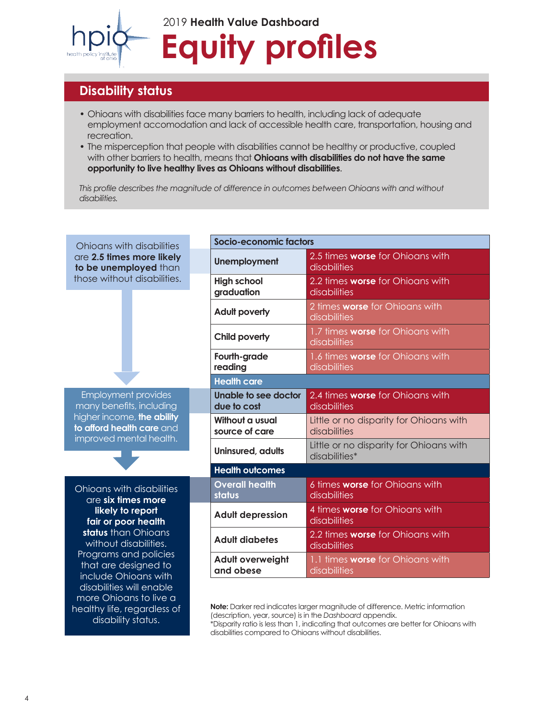

## **Equity profiles** 2019 **Health Value Dashboard**

## **Disability status**

healthy life, regardless of disability status.

- Ohioans with disabilities face many barriers to health, including lack of adequate employment accomodation and lack of accessible health care, transportation, housing and recreation.
- The misperception that people with disabilities cannot be healthy or productive, coupled with other barriers to health, means that **Ohioans with disabilities do not have the same opportunity to live healthy lives as Ohioans without disabilities**.

*This profile describes the magnitude of difference in outcomes between Ohioans with and without disabilities.*

| Ohioans with disabilities                                                                                                                                                                                                  |                                      | Socio-economic factors                                   |  |
|----------------------------------------------------------------------------------------------------------------------------------------------------------------------------------------------------------------------------|--------------------------------------|----------------------------------------------------------|--|
| are 2.5 times more likely<br>to be unemployed than<br>those without disabilities.                                                                                                                                          | <b>Unemployment</b>                  | 2.5 times worse for Ohioans with<br>disabilities         |  |
|                                                                                                                                                                                                                            | <b>High school</b><br>graduation     | 2.2 times worse for Ohioans with<br>disabilities         |  |
|                                                                                                                                                                                                                            | <b>Adult poverty</b>                 | 2 times <b>worse</b> for Ohioans with<br>disabilities    |  |
|                                                                                                                                                                                                                            | Child poverty                        | 1.7 times worse for Ohioans with<br>disabilities         |  |
|                                                                                                                                                                                                                            | Fourth-grade<br>reading              | 1.6 times worse for Ohioans with<br>disabilities         |  |
|                                                                                                                                                                                                                            | <b>Health care</b>                   |                                                          |  |
| <b>Employment provides</b><br>many benefits, including<br>higher income, the ability<br>to afford health care and                                                                                                          | Unable to see doctor<br>due to cost  | 2.4 times <b>worse</b> for Ohioans with<br>disabilities  |  |
|                                                                                                                                                                                                                            | Without a usual<br>source of care    | Little or no disparity for Ohioans with<br>disabilities  |  |
| improved mental health.                                                                                                                                                                                                    | Uninsured, adults                    | Little or no disparity for Ohioans with<br>disabilities* |  |
|                                                                                                                                                                                                                            | <b>Health outcomes</b>               |                                                          |  |
| <b>Ohioans with disabilities</b><br>are six times more<br>likely to report<br>fair or poor health<br>status than Ohioans<br>without disabilities.<br>Programs and policies<br>that are designed to<br>include Ohioans with | <b>Overall health</b><br>status      | 6 times <b>worse</b> for Ohioans with<br>disabilities    |  |
|                                                                                                                                                                                                                            | <b>Adult depression</b>              | 4 times <b>worse</b> for Ohioans with<br>disabilities    |  |
|                                                                                                                                                                                                                            | <b>Adult diabetes</b>                | 2.2 times worse for Ohioans with<br>disabilities         |  |
|                                                                                                                                                                                                                            | <b>Adult overweight</b><br>and obese | 1.1 times worse for Ohioans with<br>disabilities         |  |
| disabilities will enable<br>more Ohioans to live a                                                                                                                                                                         |                                      |                                                          |  |

**Note:** Darker red indicates larger magnitude of difference. Metric information (description, year, source) is in the *Dashboard* appendix. \*Disparity ratio is less than 1, indicating that outcomes are better for Ohioans with disabilities compared to Ohioans without disabilities.